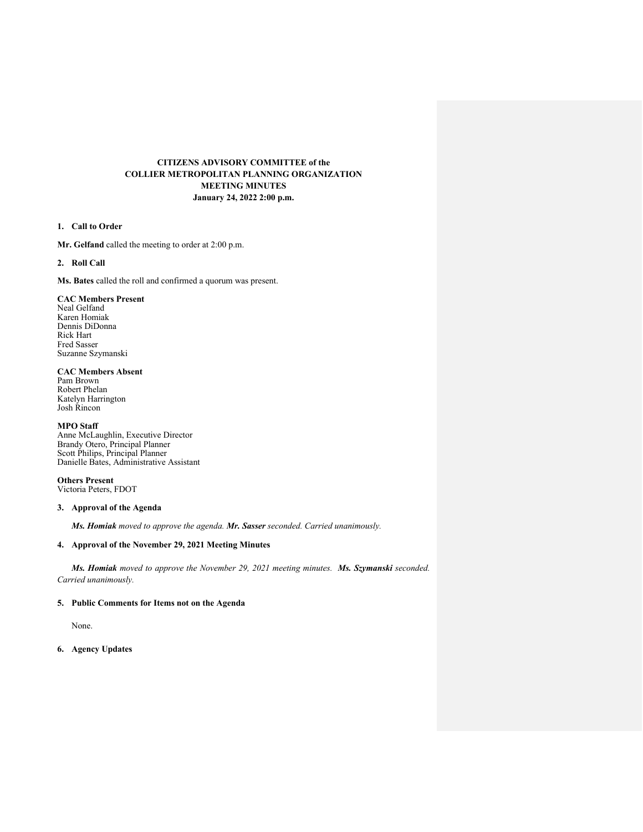# **CITIZENS ADVISORY COMMITTEE of the COLLIER METROPOLITAN PLANNING ORGANIZATION MEETING MINUTES January 24, 2022 2:00 p.m.**

## **1. Call to Order**

**Mr. Gelfand** called the meeting to order at 2:00 p.m.

**2. Roll Call**

**Ms. Bates** called the roll and confirmed a quorum was present.

### **CAC Members Present**

Neal Gelfand Karen Homiak Dennis DiDonna Rick Hart Fred Sasser Suzanne Szymanski

#### **CAC Members Absent**

Pam Brown Robert Phelan Katelyn Harrington Josh Rincon

**MPO Staff**  Anne McLaughlin, Executive Director Brandy Otero, Principal Planner Scott Philips, Principal Planner Danielle Bates, Administrative Assistant

**Others Present** Victoria Peters, FDOT

## **3. Approval of the Agenda**

*Ms. Homiak moved to approve the agenda. Mr. Sasser seconded. Carried unanimously.*

# **4. Approval of the November 29, 2021 Meeting Minutes**

*Ms. Homiak moved to approve the November 29, 2021 meeting minutes. Ms. Szymanski seconded. Carried unanimously.* 

### **5. Public Comments for Items not on the Agenda**

None.

**6. Agency Updates**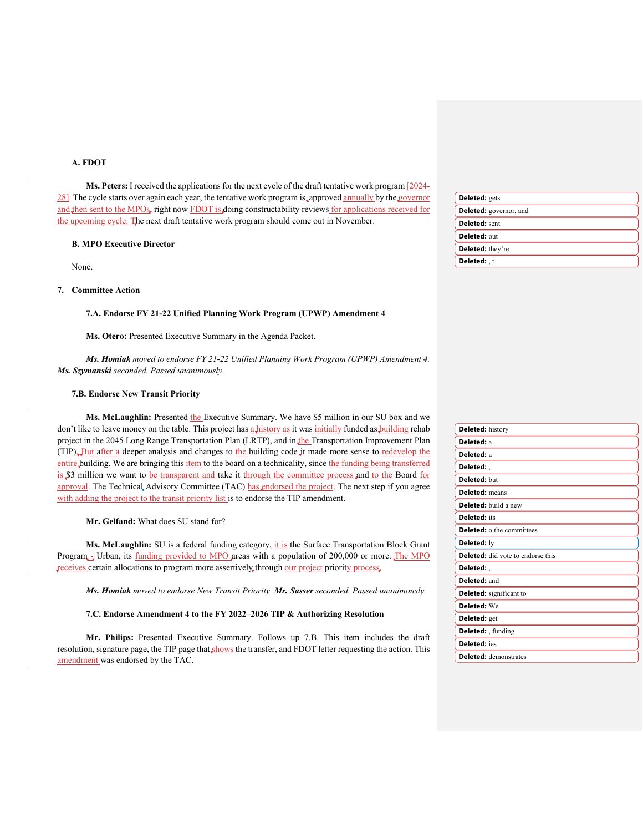## **A. FDOT**

**Ms. Peters:** I received the applications for the next cycle of the draft tentative work program [2024- 28]. The cycle starts over again each year, the tentative work program is approved annually by the governor and then sent to the MPOs, right now FDOT is doing constructability reviews for applications received for the upcoming cycle. The next draft tentative work program should come out in November.

### **B. MPO Executive Director**

None.

### **7. Committee Action**

#### **7.A. Endorse FY 21-22 Unified Planning Work Program (UPWP) Amendment 4**

**Ms. Otero:** Presented Executive Summary in the Agenda Packet.

*Ms. Homiak moved to endorse FY 21-22 Unified Planning Work Program (UPWP) Amendment 4. Ms. Szymanski seconded. Passed unanimously.*

## **7.B. Endorse New Transit Priority**

**Ms. McLaughlin:** Presented the Executive Summary. We have \$5 million in our SU box and we don't like to leave money on the table. This project has a history as it was initially funded as building rehab project in the 2045 Long Range Transportation Plan (LRTP), and in the Transportation Improvement Plan (TIP). But after a deeper analysis and changes to the building code it made more sense to redevelop the entire building. We are bringing this item to the board on a technicality, since the funding being transferred is \$3 million we want to be transparent and take it through the committee process and to the Board for approval. The Technical Advisory Committee (TAC) has endorsed the project. The next step if you agree with adding the project to the transit priority list is to endorse the TIP amendment.

**Mr. Gelfand:** What does SU stand for?

**Ms. McLaughlin:** SU is a federal funding category, it is the Surface Transportation Block Grant Program - Urban, its funding provided to MPO areas with a population of 200,000 or more. The MPO receives certain allocations to program more assertively through our project priority process.

*Ms. Homiak moved to endorse New Transit Priority. Mr. Sasser seconded. Passed unanimously.*

## **7.C. Endorse Amendment 4 to the FY 2022–2026 TIP & Authorizing Resolution**

**Mr. Philips:** Presented Executive Summary. Follows up 7.B. This item includes the draft resolution, signature page, the TIP page that shows the transfer, and FDOT letter requesting the action. This amendment was endorsed by the TAC.

| Deleted: gets                 |
|-------------------------------|
| <b>Deleted:</b> governor, and |
| <b>Deleted:</b> sent          |
| Deleted: out                  |
| Deleted: they're              |
| Deleted: . t                  |

| <b>Deleted: history</b>                  |
|------------------------------------------|
| Deleted: a                               |
| Deleted: a                               |
| Deleted:,                                |
| Deleted: but                             |
| Deleted: means                           |
| <b>Deleted:</b> build a new              |
| <b>Deleted:</b> its                      |
| Deleted: o the committees                |
| Deleted: ly                              |
| <b>Deleted:</b> did vote to endorse this |
| Deleted:,                                |
| Deleted: and                             |
| <b>Deleted:</b> significant to           |
| Deleted: We                              |
| Deleted: get                             |
| Deleted: , funding                       |
| Deleted: ies                             |
| <b>Deleted:</b> demonstrates             |
|                                          |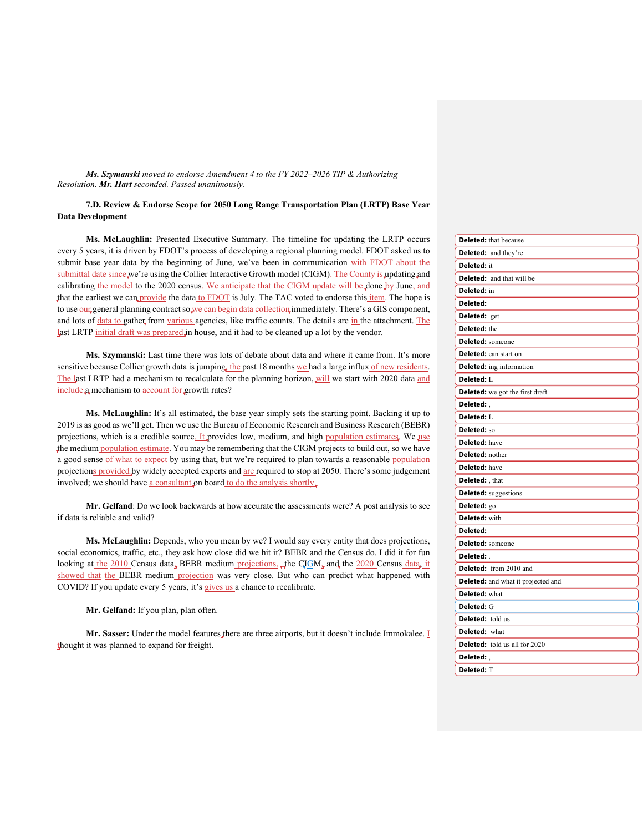### *Ms. Szymanski moved to endorse Amendment 4 to the FY 2022–2026 TIP & Authorizing Resolution. Mr. Hart seconded. Passed unanimously.*

## **7.D. Review & Endorse Scope for 2050 Long Range Transportation Plan (LRTP) Base Year Data Development**

**Ms. McLaughlin:** Presented Executive Summary. The timeline for updating the LRTP occurs every 5 years, it is driven by FDOT's process of developing a regional planning model. FDOT asked us to submit base year data by the beginning of June, we've been in communication with FDOT about the submittal date since we're using the Collier Interactive Growth model (CIGM). The County is updating and calibrating the model to the 2020 census. We anticipate that the CIGM update will be done by June, and that the earliest we can provide the data to FDOT is July. The TAC voted to endorse this item. The hope is to use our general planning contract so we can begin data collection immediately. There's a GIS component, and lots of data to gather from various agencies, like traffic counts. The details are in the attachment. The last LRTP initial draft was prepared in house, and it had to be cleaned up a lot by the vendor.

**Ms. Szymanski:** Last time there was lots of debate about data and where it came from. It's more sensitive because Collier growth data is jumping, the past 18 months we had a large influx of new residents. The last LRTP had a mechanism to recalculate for the planning horizon, will we start with 2020 data and include a mechanism to account for growth rates?

**Ms. McLaughlin:** It's all estimated, the base year simply sets the starting point. Backing it up to 2019 is as good as we'll get. Then we use the Bureau of Economic Research and Business Research (BEBR) projections, which is a credible source. It provides low, medium, and high population estimates. We use the medium population estimate. You may be remembering that the CIGM projects to build out, so we have a good sense of what to expect by using that, but we're required to plan towards a reasonable population projections provided by widely accepted experts and are required to stop at 2050. There's some judgement involved; we should have a consultant on board to do the analysis shortly.

**Mr. Gelfand**: Do we look backwards at how accurate the assessments were? A post analysis to see if data is reliable and valid?

**Ms. McLaughlin:** Depends, who you mean by we? I would say every entity that does projections, social economics, traffic, etc., they ask how close did we hit it? BEBR and the Census do. I did it for fun looking at the 2010 Census data, BEBR medium projections, the CIGM, and the 2020 Census data, it showed that the BEBR medium projection was very close. But who can predict what happened with COVID? If you update every 5 years, it's gives us a chance to recalibrate.

**Mr. Gelfand:** If you plan, plan often.

Mr. Sasser: Under the model features there are three airports, but it doesn't include Immokalee. I thought it was planned to expand for freight.

| <b>Deleted:</b> that because           |
|----------------------------------------|
| Deleted: and they're                   |
| <b>Deleted: it</b>                     |
| <b>Deleted:</b> and that will be       |
| Deleted: in                            |
| Deleted:                               |
| Deleted: get                           |
| Deleted: the                           |
| Deleted: someone                       |
| Deleted: can start on                  |
| <b>Deleted:</b> ing information        |
| Deleted: L                             |
| <b>Deleted:</b> we got the first draft |
| Deleted: .                             |
| Deleted: L                             |
| Deleted: so                            |
| Deleted: have                          |
| Deleted: nother                        |
| Deleted: have                          |
| Deleted: , that                        |
| <b>Deleted:</b> suggestions            |
| Deleted: go                            |
| Deleted: with                          |
| Deleted:                               |
| Deleted: someone                       |
| Deleted:                               |
| Deleted: from 2010 and                 |
| Deleted: and what it projected and     |
| <b>Deleted:</b> what                   |
| Deleted: G                             |
| Deleted: told us                       |
| Deleted: what                          |
| <b>Deleted:</b> told us all for 2020   |
| Deleted: .                             |
| Deleted: T                             |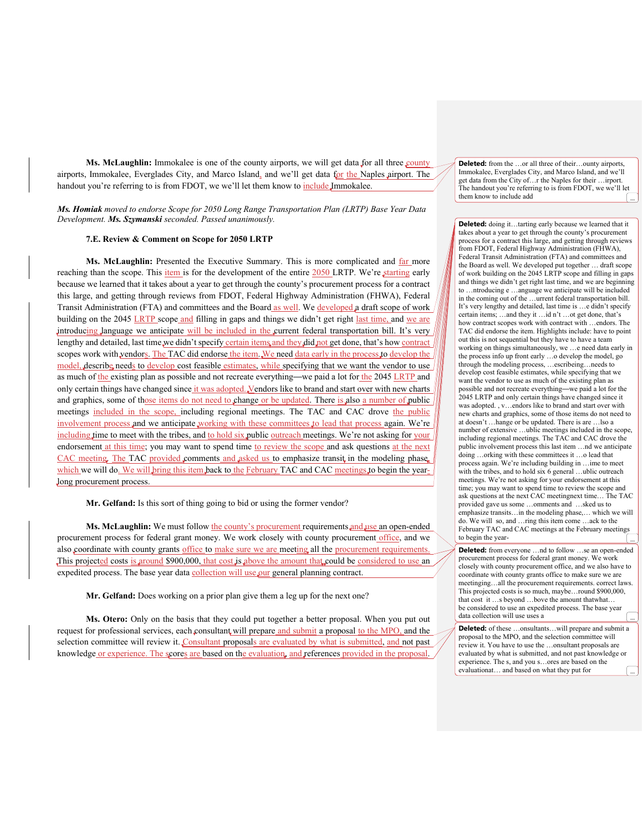**Ms. McLaughlin:** Immokalee is one of the county airports, we will get data for all three county airports, Immokalee, Everglades City, and Marco Island, and we'll get data for the Naples airport. The handout you're referring to is from FDOT, we we'll let them know to include Immokalee.

*Ms. Homiak moved to endorse Scope for 2050 Long Range Transportation Plan (LRTP) Base Year Data Development. Ms. Szymanski seconded. Passed unanimously.*

### **7.E. Review & Comment on Scope for 2050 LRTP**

**Ms. McLaughlin:** Presented the Executive Summary. This is more complicated and far more reaching than the scope. This item is for the development of the entire  $2050$  LRTP. We're starting early because we learned that it takes about a year to get through the county's procurement process for a contract this large, and getting through reviews from FDOT, Federal Highway Administration (FHWA), Federal Transit Administration (FTA) and committees and the Board as well. We developed a draft scope of work building on the 2045 LRTP scope and filling in gaps and things we didn't get right last time, and we are introducing language we anticipate will be included in the current federal transportation bill. It's very lengthy and detailed, last time we didn't specify certain items and they did not get done, that's how contract scopes work with vendors. The TAC did endorse the item. We need data early in the process to develop the model, describe needs to develop cost feasible estimates, while specifying that we want the vendor to use as much of the existing plan as possible and not recreate everything—we paid a lot for the 2045 LRTP and only certain things have changed since it was adopted. Vendors like to brand and start over with new charts and graphics, some of those items do not need to change or be updated. There is also a number of public meetings included in the scope, including regional meetings. The TAC and CAC drove the public involvement process and we anticipate working with these committees to lead that process again. We're including time to meet with the tribes, and to hold six public outreach meetings. We're not asking for your endorsement at this time; you may want to spend time to review the scope and ask questions at the next CAC meeting. The TAC provided comments and asked us to emphasize transit in the modeling phase. which we will do. We will bring this item back to the February TAC and CAC meetings to begin the yearlong procurement process.

**Mr. Gelfand:** Is this sort of thing going to bid or using the former vendor?

Ms. McLaughlin: We must follow the county's procurement requirements and use an open-ended procurement process for federal grant money. We work closely with county procurement office, and we also coordinate with county grants office to make sure we are meeting all the procurement requirements. This projected costs is around \$900,000, that cost is above the amount that could be considered to use an expedited process. The base year data collection will use our general planning contract.

**Mr. Gelfand:** Does working on a prior plan give them a leg up for the next one?

**Ms. Otero:** Only on the basis that they could put together a better proposal. When you put out request for professional services, each consultant will prepare and submit a proposal to the MPO, and the selection committee will review it. Consultant proposals are evaluated by what is submitted, and not past knowledge or experience. The scores are based on the evaluation, and references provided in the proposal.

**Deleted:** from the …or all three of their…ounty airports, Immokalee, Everglades City, and Marco Island, and we'll get data from the City of…r the Naples for their …irport. The handout you're referring to is from FDOT, we we'll let them know to include add

**Deleted:** doing it…tarting early because we learned that it takes about a year to get through the county's procurement process for a contract this large, and getting through reviews from FDOT, Federal Highway Administration (FHWA), Federal Transit Administration (FTA) and committees and the Board as well. We developed put together … draft scope of work building on the 2045 LRTP scope and filling in gaps and things we didn't get right last time, and we are beginning to …ntroducing e …anguage we anticipate will be included in the coming out of the …urrent federal transportation bill. It's very lengthy and detailed, last time is …e didn't specify certain items; …and they it …id n't …ot get done, that's how contract scopes work with contract with …endors. The TAC did endorse the item. Highlights include: have to point out this is not sequential but they have to have a team working on things simultaneously, we …e need data early in the process info up front early …o develop the model, go through the modeling process, …escribeing…needs to develop cost feasible estimates, while specifying that we want the vendor to use as much of the existing plan as possible and not recreate everything—we paid a lot for the 2045 LRTP and only certain things have changed since it was adopted. , v…endors like to brand and start over with new charts and graphics, some of those items do not need to at doesn't …hange or be updated. There is are …lso a number of extensive …ublic meetings included in the scope, including regional meetings. The TAC and CAC drove the public involvement process this last item …nd we anticipate doing …orking with these committees it …o lead that process again. We're including building in …ime to meet with the tribes, and to hold six 6 general …ublic outreach meetings. We're not asking for your endorsement at this time; you may want to spend time to review the scope and ask questions at the next CAC meetingnext time… The TAC provided gave us some …omments and …sked us to emphasize transits…in the modeling phase,… which we will do. We will so, and …ring this item come …ack to the February TAC and CAC meetings at the February meetings to begin the year

**Deleted:** from everyone …nd to follow …se an open-ended procurement process for federal grant money. We work closely with county procurement office, and we also have to coordinate with county grants office to make sure we are meetinging…all the procurement requirements. correct laws. This projected costs is so much, maybe…round \$900,000, that cost it …s beyond …bove the amount thatwhat… be considered to use an expedited process. The base year data collection will use uses a

**Deleted:** of these …onsultants…will prepare and submit a proposal to the MPO, and the selection committee will review it. You have to use the …onsultant proposals are evaluated by what is submitted, and not past knowledge or experience. The s, and you s…ores are based on the evaluationat… and based on what they put for ...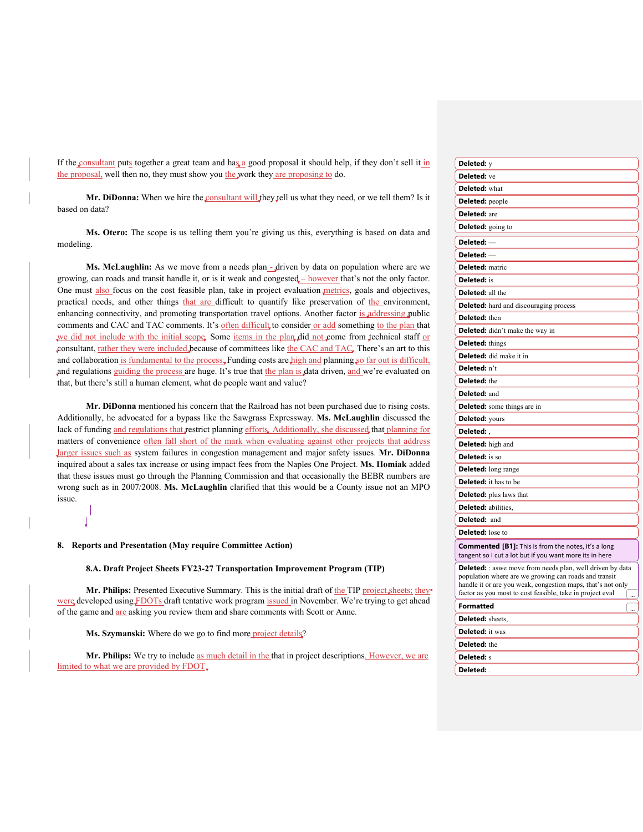If the consultant puts together a great team and has a good proposal it should help, if they don't sell it in the proposal, well then no, they must show you the work they are proposing to do.

Mr. DiDonna: When we hire the consultant will they tell us what they need, or we tell them? Is it based on data?

**Ms. Otero:** The scope is us telling them you're giving us this, everything is based on data and modeling.

**Ms. McLaughlin:** As we move from a needs plan - driven by data on population where are we growing, can roads and transit handle it, or is it weak and congested – however that's not the only factor. One must also focus on the cost feasible plan, take in project evaluation *metrics*, goals and objectives, practical needs, and other things that are difficult to quantify like preservation of the environment, enhancing connectivity, and promoting transportation travel options. Another factor is addressing public comments and CAC and TAC comments. It's often difficult to consider or add something to the plan that we did not include with the initial scope. Some items in the plan did not come from technical staff or consultant, rather they were included because of committees like the CAC and TAC. There's an art to this and collaboration is fundamental to the process. Funding costs are high and planning so far out is difficult and regulations guiding the process are huge. It's true that the plan is data driven, and we're evaluated on that, but there's still a human element, what do people want and value?

**Mr. DiDonna** mentioned his concern that the Railroad has not been purchased due to rising costs. Additionally, he advocated for a bypass like the Sawgrass Expressway. **Ms. McLaughlin** discussed the lack of funding and regulations that restrict planning efforts. Additionally, she discussed that planning for matters of convenience often fall short of the mark when evaluating against other projects that address larger issues such as system failures in congestion management and major safety issues. **Mr. DiDonna** inquired about a sales tax increase or using impact fees from the Naples One Project. **Ms. Homiak** added that these issues must go through the Planning Commission and that occasionally the BEBR numbers are wrong such as in 2007/2008. **Ms. McLaughlin** clarified that this would be a County issue not an MPO issue.

#### **8. Reports and Presentation (May require Committee Action)**

**8.A. Draft Project Sheets FY23-27 Transportation Improvement Program (TIP)**

Mr. Philips: Presented Executive Summary. This is the initial draft of the TIP project sheets; they were developed using FDOTs draft tentative work program issued in November. We're trying to get ahead of the game and are asking you review them and share comments with Scott or Anne.

Ms. Szymanski: Where do we go to find more project details?

**Mr. Philips:** We try to include as much detail in the that in project descriptions. However, we are limited to what we are provided by FDOT

| Deleted: y                                                                                                                                                                                                                                            |
|-------------------------------------------------------------------------------------------------------------------------------------------------------------------------------------------------------------------------------------------------------|
| Deleted: ve                                                                                                                                                                                                                                           |
| <b>Deleted:</b> what                                                                                                                                                                                                                                  |
| <b>Deleted:</b> people                                                                                                                                                                                                                                |
| <b>Deleted:</b> are                                                                                                                                                                                                                                   |
| <b>Deleted:</b> going to                                                                                                                                                                                                                              |
| Deleted:                                                                                                                                                                                                                                              |
| Deleted:                                                                                                                                                                                                                                              |
| <b>Deleted:</b> matric                                                                                                                                                                                                                                |
| <b>Deleted:</b> is                                                                                                                                                                                                                                    |
| Deleted: all the                                                                                                                                                                                                                                      |
| <b>Deleted:</b> hard and discouraging process                                                                                                                                                                                                         |
| <b>Deleted:</b> then                                                                                                                                                                                                                                  |
| <b>Deleted:</b> didn't make the way in                                                                                                                                                                                                                |
| <b>Deleted:</b> things                                                                                                                                                                                                                                |
| Deleted: did make it in                                                                                                                                                                                                                               |
| Deleted: n't                                                                                                                                                                                                                                          |
| Deleted: the                                                                                                                                                                                                                                          |
| Deleted: and                                                                                                                                                                                                                                          |
| <b>Deleted:</b> some things are in                                                                                                                                                                                                                    |
| Deleted: yours                                                                                                                                                                                                                                        |
| Deleted:,                                                                                                                                                                                                                                             |
| Deleted: high and                                                                                                                                                                                                                                     |
| Deleted: is so                                                                                                                                                                                                                                        |
| <b>Deleted:</b> long range                                                                                                                                                                                                                            |
| <b>Deleted:</b> it has to be                                                                                                                                                                                                                          |
| <b>Deleted:</b> plus laws that                                                                                                                                                                                                                        |
| <b>Deleted:</b> abilities,                                                                                                                                                                                                                            |
| Deleted: and                                                                                                                                                                                                                                          |
| Deleted: lose to                                                                                                                                                                                                                                      |
| <b>Commented [B1]:</b> This is from the notes, it's a long<br>tangent so I cut a lot but if you want more its in here                                                                                                                                 |
| <b>Deleted:</b> : aswe move from needs plan, well driven by data<br>population where are we growing can roads and transit<br>handle it or are you weak, congestion maps, that's not only<br>factor as you most to cost feasible, take in project eval |
| <b>Formatted</b>                                                                                                                                                                                                                                      |
| Deleted: sheets,                                                                                                                                                                                                                                      |
| <b>Deleted:</b> it was                                                                                                                                                                                                                                |
| <b>Deleted:</b> the                                                                                                                                                                                                                                   |
| <b>Deleted:</b> s                                                                                                                                                                                                                                     |
| Deleted <sup>.</sup>                                                                                                                                                                                                                                  |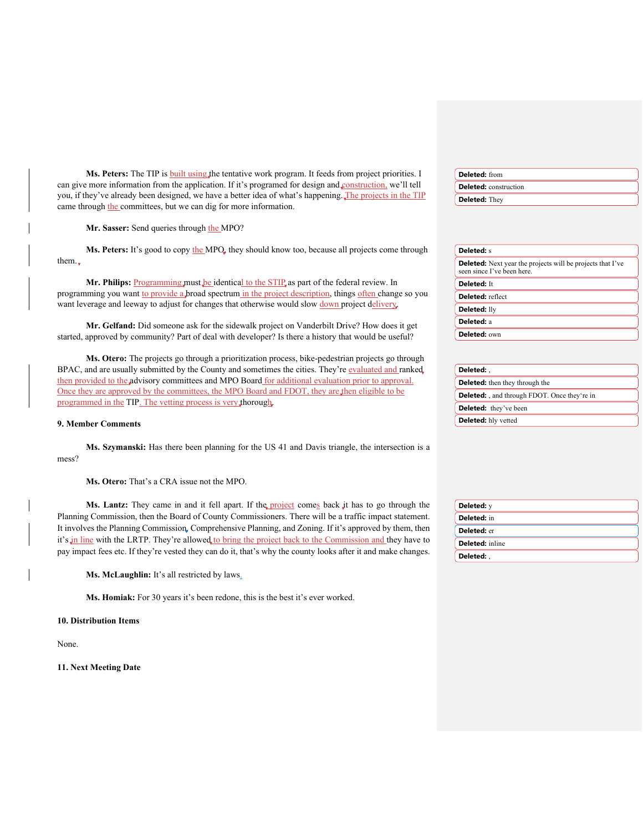| <b>Ms. Peters:</b> The TIP is built using the tentative work program. It feeds from project priorities. I | Deleted: from                |
|-----------------------------------------------------------------------------------------------------------|------------------------------|
| can give more information from the application. If it's programed for design and construction, we'll tell | <b>Deleted:</b> construction |
| you, if they've already been designed, we have a better idea of what's happening. The projects in the TIP | <b>Deleted:</b> They         |
| came through the committees, but we can dig for more information.                                         |                              |

**Mr. Sasser:** Send queries through the MPO?

|       | <b>Ms. Peters:</b> It's good to copy the MPQ, they should know too, because all projects come through   | <b>Deleted:</b> s                                                                               |
|-------|---------------------------------------------------------------------------------------------------------|-------------------------------------------------------------------------------------------------|
| them. |                                                                                                         | <b>Deleted:</b> Next year the projects will be projects that I've<br>seen since I've been here. |
|       | Mr. Philips: Programming must be identical to the STIP, as part of the federal review. In               |                                                                                                 |
|       |                                                                                                         | <b>Deleted: It</b>                                                                              |
|       | programming you want to provide a broad spectrum in the project description, things often change so you | <b>Deleted:</b> reflect                                                                         |
|       | want leverage and leeway to adjust for changes that otherwise would slow down project delivery.         | Deleted: llv                                                                                    |

**Mr. Gelfand:** Did someone ask for the sidewalk project on Vanderbilt Drive? How does it get started, approved by community? Part of deal with developer? Is there a history that would be useful?

**Ms. Otero:** The projects go through a prioritization process, bike-pedestrian projects go through BPAC, and are usually submitted by the County and sometimes the cities. They're evaluated and ranked then provided to the advisory committees and MPO Board for additional evaluation prior to approval. Once they are approved by the committees, the MPO Board and FDOT, they are then eligible to be programmed in the TIP. The vetting process is very thorough.

#### **9. Member Comments**

**Ms. Szymanski:** Has there been planning for the US 41 and Davis triangle, the intersection is a mess?

**Ms. Otero:** That's a CRA issue not the MPO.

Ms. Lantz: They came in and it fell apart. If the project comes back it has to go through the Planning Commission, then the Board of County Commissioners. There will be a traffic impact statement. It involves the Planning Commission, Comprehensive Planning, and Zoning. If it's approved by them, then it's in line with the LRTP. They're allowed to bring the project back to the Commission and they have to pay impact fees etc. If they're vested they can do it, that's why the county looks after it and make changes.

**Ms. McLaughlin:** It's all restricted by laws.

**Ms. Homiak:** For 30 years it's been redone, this is the best it's ever worked.

#### **10. Distribution Items**

None.

**11. Next Meeting Date**

| Deleted: .                                          |
|-----------------------------------------------------|
| <b>Deleted:</b> then they through the               |
| <b>Deleted:</b> , and through FDOT. Once they're in |
| <b>Deleted:</b> they've been                        |
| <b>Deleted:</b> hly vetted                          |

**Deleted:** a **Deleted:** own

| Deleted: y             |
|------------------------|
| <b>Deleted:</b> in     |
| Deleted: er            |
| <b>Deleted:</b> inline |
| Deleted: .             |